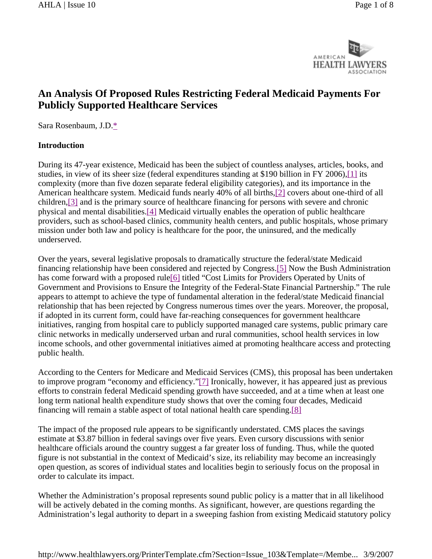

# **An Analysis Of Proposed Rules Restricting Federal Medicaid Payments For Publicly Supported Healthcare Services**

Sara Rosenbaum, J.D.\*

#### **Introduction**

During its 47-year existence, Medicaid has been the subject of countless analyses, articles, books, and studies, in view of its sheer size (federal expenditures standing at \$190 billion in FY 2006),[1] its complexity (more than five dozen separate federal eligibility categories), and its importance in the American healthcare system. Medicaid funds nearly 40% of all births,[2] covers about one-third of all children,[3] and is the primary source of healthcare financing for persons with severe and chronic physical and mental disabilities.[4] Medicaid virtually enables the operation of public healthcare providers, such as school-based clinics, community health centers, and public hospitals, whose primary mission under both law and policy is healthcare for the poor, the uninsured, and the medically underserved.

Over the years, several legislative proposals to dramatically structure the federal/state Medicaid financing relationship have been considered and rejected by Congress.[5] Now the Bush Administration has come forward with a proposed rule<sup>[6]</sup> titled "Cost Limits for Providers Operated by Units of Government and Provisions to Ensure the Integrity of the Federal-State Financial Partnership." The rule appears to attempt to achieve the type of fundamental alteration in the federal/state Medicaid financial relationship that has been rejected by Congress numerous times over the years. Moreover, the proposal, if adopted in its current form, could have far-reaching consequences for government healthcare initiatives, ranging from hospital care to publicly supported managed care systems, public primary care clinic networks in medically underserved urban and rural communities, school health services in low income schools, and other governmental initiatives aimed at promoting healthcare access and protecting public health.

According to the Centers for Medicare and Medicaid Services (CMS), this proposal has been undertaken to improve program "economy and efficiency."[7] Ironically, however, it has appeared just as previous efforts to constrain federal Medicaid spending growth have succeeded, and at a time when at least one long term national health expenditure study shows that over the coming four decades, Medicaid financing will remain a stable aspect of total national health care spending.[8]

The impact of the proposed rule appears to be significantly understated. CMS places the savings estimate at \$3.87 billion in federal savings over five years. Even cursory discussions with senior healthcare officials around the country suggest a far greater loss of funding. Thus, while the quoted figure is not substantial in the context of Medicaid's size, its reliability may become an increasingly open question, as scores of individual states and localities begin to seriously focus on the proposal in order to calculate its impact.

Whether the Administration's proposal represents sound public policy is a matter that in all likelihood will be actively debated in the coming months. As significant, however, are questions regarding the Administration's legal authority to depart in a sweeping fashion from existing Medicaid statutory policy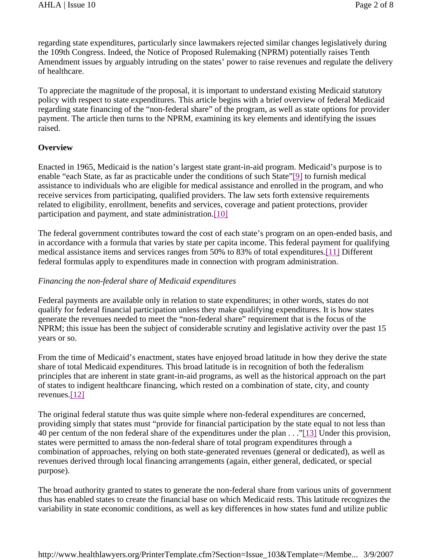regarding state expenditures, particularly since lawmakers rejected similar changes legislatively during the 109th Congress. Indeed, the Notice of Proposed Rulemaking (NPRM) potentially raises Tenth Amendment issues by arguably intruding on the states' power to raise revenues and regulate the delivery of healthcare.

To appreciate the magnitude of the proposal, it is important to understand existing Medicaid statutory policy with respect to state expenditures. This article begins with a brief overview of federal Medicaid regarding state financing of the "non-federal share" of the program, as well as state options for provider payment. The article then turns to the NPRM, examining its key elements and identifying the issues raised.

### **Overview**

Enacted in 1965, Medicaid is the nation's largest state grant-in-aid program. Medicaid's purpose is to enable "each State, as far as practicable under the conditions of such State"[9] to furnish medical assistance to individuals who are eligible for medical assistance and enrolled in the program, and who receive services from participating, qualified providers. The law sets forth extensive requirements related to eligibility, enrollment, benefits and services, coverage and patient protections, provider participation and payment, and state administration.[10]

The federal government contributes toward the cost of each state's program on an open-ended basis, and in accordance with a formula that varies by state per capita income. This federal payment for qualifying medical assistance items and services ranges from 50% to 83% of total expenditures.[11] Different federal formulas apply to expenditures made in connection with program administration.

#### *Financing the non-federal share of Medicaid expenditures*

Federal payments are available only in relation to state expenditures; in other words, states do not qualify for federal financial participation unless they make qualifying expenditures. It is how states generate the revenues needed to meet the "non-federal share" requirement that is the focus of the NPRM; this issue has been the subject of considerable scrutiny and legislative activity over the past 15 years or so.

From the time of Medicaid's enactment, states have enjoyed broad latitude in how they derive the state share of total Medicaid expenditures. This broad latitude is in recognition of both the federalism principles that are inherent in state grant-in-aid programs, as well as the historical approach on the part of states to indigent healthcare financing, which rested on a combination of state, city, and county revenues.[12]

The original federal statute thus was quite simple where non-federal expenditures are concerned, providing simply that states must "provide for financial participation by the state equal to not less than 40 per centum of the non federal share of the expenditures under the plan . . ."[13] Under this provision, states were permitted to amass the non-federal share of total program expenditures through a combination of approaches, relying on both state-generated revenues (general or dedicated), as well as revenues derived through local financing arrangements (again, either general, dedicated, or special purpose).

The broad authority granted to states to generate the non-federal share from various units of government thus has enabled states to create the financial base on which Medicaid rests. This latitude recognizes the variability in state economic conditions, as well as key differences in how states fund and utilize public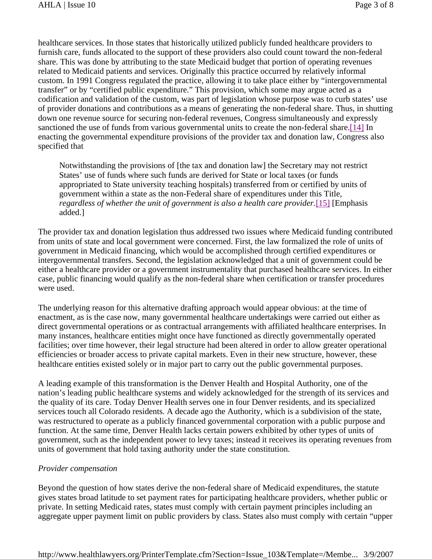healthcare services. In those states that historically utilized publicly funded healthcare providers to furnish care, funds allocated to the support of these providers also could count toward the non-federal share. This was done by attributing to the state Medicaid budget that portion of operating revenues related to Medicaid patients and services. Originally this practice occurred by relatively informal custom. In 1991 Congress regulated the practice, allowing it to take place either by "intergovernmental transfer" or by "certified public expenditure." This provision, which some may argue acted as a codification and validation of the custom, was part of legislation whose purpose was to curb states' use of provider donations and contributions as a means of generating the non-federal share. Thus, in shutting down one revenue source for securing non-federal revenues, Congress simultaneously and expressly sanctioned the use of funds from various governmental units to create the non-federal share.[14] In enacting the governmental expenditure provisions of the provider tax and donation law, Congress also specified that

Notwithstanding the provisions of [the tax and donation law] the Secretary may not restrict States' use of funds where such funds are derived for State or local taxes (or funds appropriated to State university teaching hospitals) transferred from or certified by units of government within a state as the non-Federal share of expenditures under this Title, *regardless of whether the unit of government is also a health care provider.*[15] [Emphasis added.]

The provider tax and donation legislation thus addressed two issues where Medicaid funding contributed from units of state and local government were concerned. First, the law formalized the role of units of government in Medicaid financing, which would be accomplished through certified expenditures or intergovernmental transfers. Second, the legislation acknowledged that a unit of government could be either a healthcare provider or a government instrumentality that purchased healthcare services. In either case, public financing would qualify as the non-federal share when certification or transfer procedures were used.

The underlying reason for this alternative drafting approach would appear obvious: at the time of enactment, as is the case now, many governmental healthcare undertakings were carried out either as direct governmental operations or as contractual arrangements with affiliated healthcare enterprises. In many instances, healthcare entities might once have functioned as directly governmentally operated facilities; over time however, their legal structure had been altered in order to allow greater operational efficiencies or broader access to private capital markets. Even in their new structure, however, these healthcare entities existed solely or in major part to carry out the public governmental purposes.

A leading example of this transformation is the Denver Health and Hospital Authority, one of the nation's leading public healthcare systems and widely acknowledged for the strength of its services and the quality of its care. Today Denver Health serves one in four Denver residents, and its specialized services touch all Colorado residents. A decade ago the Authority, which is a subdivision of the state, was restructured to operate as a publicly financed governmental corporation with a public purpose and function. At the same time, Denver Health lacks certain powers exhibited by other types of units of government, such as the independent power to levy taxes; instead it receives its operating revenues from units of government that hold taxing authority under the state constitution.

#### *Provider compensation*

Beyond the question of how states derive the non-federal share of Medicaid expenditures, the statute gives states broad latitude to set payment rates for participating healthcare providers, whether public or private. In setting Medicaid rates, states must comply with certain payment principles including an aggregate upper payment limit on public providers by class. States also must comply with certain "upper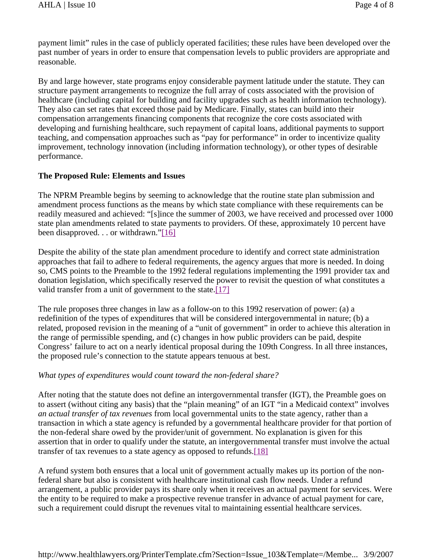payment limit" rules in the case of publicly operated facilities; these rules have been developed over the past number of years in order to ensure that compensation levels to public providers are appropriate and reasonable.

By and large however, state programs enjoy considerable payment latitude under the statute. They can structure payment arrangements to recognize the full array of costs associated with the provision of healthcare (including capital for building and facility upgrades such as health information technology). They also can set rates that exceed those paid by Medicare. Finally, states can build into their compensation arrangements financing components that recognize the core costs associated with developing and furnishing healthcare, such repayment of capital loans, additional payments to support teaching, and compensation approaches such as "pay for performance" in order to incentivize quality improvement, technology innovation (including information technology), or other types of desirable performance.

#### **The Proposed Rule: Elements and Issues**

The NPRM Preamble begins by seeming to acknowledge that the routine state plan submission and amendment process functions as the means by which state compliance with these requirements can be readily measured and achieved: "[s]ince the summer of 2003, we have received and processed over 1000 state plan amendments related to state payments to providers. Of these, approximately 10 percent have been disapproved. . . or withdrawn."[16]

Despite the ability of the state plan amendment procedure to identify and correct state administration approaches that fail to adhere to federal requirements, the agency argues that more is needed. In doing so, CMS points to the Preamble to the 1992 federal regulations implementing the 1991 provider tax and donation legislation, which specifically reserved the power to revisit the question of what constitutes a valid transfer from a unit of government to the state.[17]

The rule proposes three changes in law as a follow-on to this 1992 reservation of power: (a) a redefinition of the types of expenditures that will be considered intergovernmental in nature; (b) a related, proposed revision in the meaning of a "unit of government" in order to achieve this alteration in the range of permissible spending, and (c) changes in how public providers can be paid, despite Congress' failure to act on a nearly identical proposal during the 109th Congress. In all three instances, the proposed rule's connection to the statute appears tenuous at best.

#### *What types of expenditures would count toward the non-federal share?*

After noting that the statute does not define an intergovernmental transfer (IGT), the Preamble goes on to assert (without citing any basis) that the "plain meaning" of an IGT "in a Medicaid context" involves *an actual transfer of tax revenues* from local governmental units to the state agency, rather than a transaction in which a state agency is refunded by a governmental healthcare provider for that portion of the non-federal share owed by the provider/unit of government. No explanation is given for this assertion that in order to qualify under the statute, an intergovernmental transfer must involve the actual transfer of tax revenues to a state agency as opposed to refunds.[18]

A refund system both ensures that a local unit of government actually makes up its portion of the nonfederal share but also is consistent with healthcare institutional cash flow needs. Under a refund arrangement, a public provider pays its share only when it receives an actual payment for services. Were the entity to be required to make a prospective revenue transfer in advance of actual payment for care, such a requirement could disrupt the revenues vital to maintaining essential healthcare services.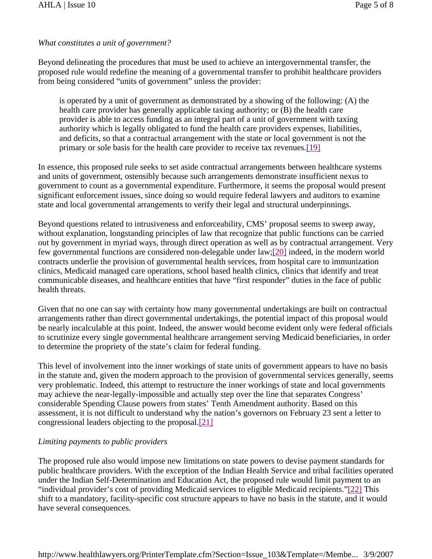## *What constitutes a unit of government?*

Beyond delineating the procedures that must be used to achieve an intergovernmental transfer, the proposed rule would redefine the meaning of a governmental transfer to prohibit healthcare providers from being considered "units of government" unless the provider:

is operated by a unit of government as demonstrated by a showing of the following: (A) the health care provider has generally applicable taxing authority; or (B) the health care provider is able to access funding as an integral part of a unit of government with taxing authority which is legally obligated to fund the health care providers expenses, liabilities, and deficits, so that a contractual arrangement with the state or local government is not the primary or sole basis for the health care provider to receive tax revenues.[19]

In essence, this proposed rule seeks to set aside contractual arrangements between healthcare systems and units of government, ostensibly because such arrangements demonstrate insufficient nexus to government to count as a governmental expenditure. Furthermore, it seems the proposal would present significant enforcement issues, since doing so would require federal lawyers and auditors to examine state and local governmental arrangements to verify their legal and structural underpinnings.

Beyond questions related to intrusiveness and enforceability, CMS' proposal seems to sweep away, without explanation, longstanding principles of law that recognize that public functions can be carried out by government in myriad ways, through direct operation as well as by contractual arrangement. Very few governmental functions are considered non-delegable under law;[20] indeed, in the modern world contracts underlie the provision of governmental health services, from hospital care to immunization clinics, Medicaid managed care operations, school based health clinics, clinics that identify and treat communicable diseases, and healthcare entities that have "first responder" duties in the face of public health threats.

Given that no one can say with certainty how many governmental undertakings are built on contractual arrangements rather than direct governmental undertakings, the potential impact of this proposal would be nearly incalculable at this point. Indeed, the answer would become evident only were federal officials to scrutinize every single governmental healthcare arrangement serving Medicaid beneficiaries, in order to determine the propriety of the state's claim for federal funding.

This level of involvement into the inner workings of state units of government appears to have no basis in the statute and, given the modern approach to the provision of governmental services generally, seems very problematic. Indeed, this attempt to restructure the inner workings of state and local governments may achieve the near-legally-impossible and actually step over the line that separates Congress' considerable Spending Clause powers from states' Tenth Amendment authority. Based on this assessment, it is not difficult to understand why the nation's governors on February 23 sent a letter to congressional leaders objecting to the proposal.[21]

## *Limiting payments to public providers*

The proposed rule also would impose new limitations on state powers to devise payment standards for public healthcare providers. With the exception of the Indian Health Service and tribal facilities operated under the Indian Self-Determination and Education Act, the proposed rule would limit payment to an "individual provider's cost of providing Medicaid services to eligible Medicaid recipients."[22] This shift to a mandatory, facility-specific cost structure appears to have no basis in the statute, and it would have several consequences.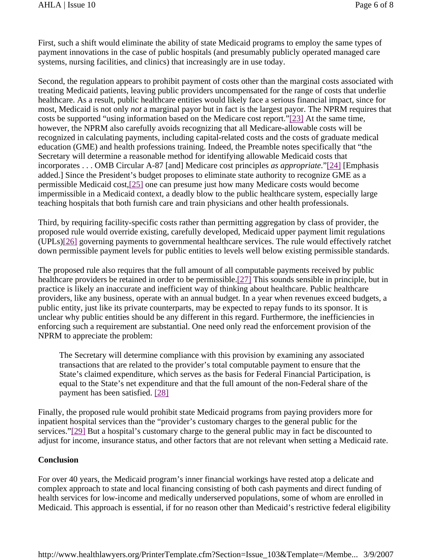First, such a shift would eliminate the ability of state Medicaid programs to employ the same types of payment innovations in the case of public hospitals (and presumably publicly operated managed care systems, nursing facilities, and clinics) that increasingly are in use today.

Second, the regulation appears to prohibit payment of costs other than the marginal costs associated with treating Medicaid patients, leaving public providers uncompensated for the range of costs that underlie healthcare. As a result, public healthcare entities would likely face a serious financial impact, since for most, Medicaid is not only *not* a marginal payor but in fact is the largest payor. The NPRM requires that costs be supported "using information based on the Medicare cost report."[23] At the same time, however, the NPRM also carefully avoids recognizing that all Medicare-allowable costs will be recognized in calculating payments, including capital-related costs and the costs of graduate medical education (GME) and health professions training. Indeed, the Preamble notes specifically that "the Secretary will determine a reasonable method for identifying allowable Medicaid costs that incorporates . . . OMB Circular A-87 [and] Medicare cost principles *as appropriate*."[24] [Emphasis added.] Since the President's budget proposes to eliminate state authority to recognize GME as a permissible Medicaid cost,[25] one can presume just how many Medicare costs would become impermissible in a Medicaid context, a deadly blow to the public healthcare system, especially large teaching hospitals that both furnish care and train physicians and other health professionals.

Third, by requiring facility-specific costs rather than permitting aggregation by class of provider, the proposed rule would override existing, carefully developed, Medicaid upper payment limit regulations (UPLs)[26] governing payments to governmental healthcare services. The rule would effectively ratchet down permissible payment levels for public entities to levels well below existing permissible standards.

The proposed rule also requires that the full amount of all computable payments received by public healthcare providers be retained in order to be permissible.[27] This sounds sensible in principle, but in practice is likely an inaccurate and inefficient way of thinking about healthcare. Public healthcare providers, like any business, operate with an annual budget. In a year when revenues exceed budgets, a public entity, just like its private counterparts, may be expected to repay funds to its sponsor. It is unclear why public entities should be any different in this regard. Furthermore, the inefficiencies in enforcing such a requirement are substantial. One need only read the enforcement provision of the NPRM to appreciate the problem:

The Secretary will determine compliance with this provision by examining any associated transactions that are related to the provider's total computable payment to ensure that the State's claimed expenditure, which serves as the basis for Federal Financial Participation, is equal to the State's net expenditure and that the full amount of the non-Federal share of the payment has been satisfied. [28]

Finally, the proposed rule would prohibit state Medicaid programs from paying providers more for inpatient hospital services than the "provider's customary charges to the general public for the services."[29] But a hospital's customary charge to the general public may in fact be discounted to adjust for income, insurance status, and other factors that are not relevant when setting a Medicaid rate.

## **Conclusion**

For over 40 years, the Medicaid program's inner financial workings have rested atop a delicate and complex approach to state and local financing consisting of both cash payments and direct funding of health services for low-income and medically underserved populations, some of whom are enrolled in Medicaid. This approach is essential, if for no reason other than Medicaid's restrictive federal eligibility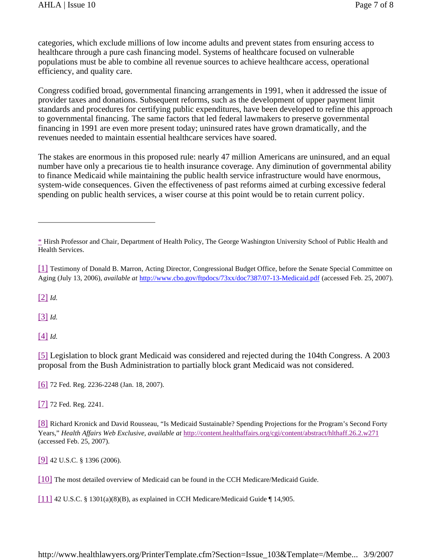categories, which exclude millions of low income adults and prevent states from ensuring access to healthcare through a pure cash financing model. Systems of healthcare focused on vulnerable populations must be able to combine all revenue sources to achieve healthcare access, operational efficiency, and quality care.

Congress codified broad, governmental financing arrangements in 1991, when it addressed the issue of provider taxes and donations. Subsequent reforms, such as the development of upper payment limit standards and procedures for certifying public expenditures, have been developed to refine this approach to governmental financing. The same factors that led federal lawmakers to preserve governmental financing in 1991 are even more present today; uninsured rates have grown dramatically, and the revenues needed to maintain essential healthcare services have soared.

The stakes are enormous in this proposed rule: nearly 47 million Americans are uninsured, and an equal number have only a precarious tie to health insurance coverage. Any diminution of governmental ability to finance Medicaid while maintaining the public health service infrastructure would have enormous, system-wide consequences. Given the effectiveness of past reforms aimed at curbing excessive federal spending on public health services, a wiser course at this point would be to retain current policy.

[2] *Id.*

[3] *Id.*

[4] *Id.*

[5] Legislation to block grant Medicaid was considered and rejected during the 104th Congress. A 2003 proposal from the Bush Administration to partially block grant Medicaid was not considered.

[6] 72 Fed. Reg. 2236-2248 (Jan. 18, 2007).

[7] 72 Fed. Reg. 2241.

[8] Richard Kronick and David Rousseau, "Is Medicaid Sustainable? Spending Projections for the Program's Second Forty Years," *Health Affairs Web Exclusive, available at* http://content.healthaffairs.org/cgi/content/abstract/hlthaff.26.2.w271 (accessed Feb. 25, 2007).

[9] 42 U.S.C. § 1396 (2006).

[10] The most detailed overview of Medicaid can be found in the CCH Medicare/Medicaid Guide.

[11] 42 U.S.C. § 1301(a)(8)(B), as explained in CCH Medicare/Medicaid Guide  $\P$  14,905.

<sup>\*</sup> Hirsh Professor and Chair, Department of Health Policy, The George Washington University School of Public Health and Health Services.

<sup>[1]</sup> Testimony of Donald B. Marron, Acting Director, Congressional Budget Office, before the Senate Special Committee on Aging (July 13, 2006), *available at* http://www.cbo.gov/ftpdocs/73xx/doc7387/07-13-Medicaid.pdf (accessed Feb. 25, 2007).